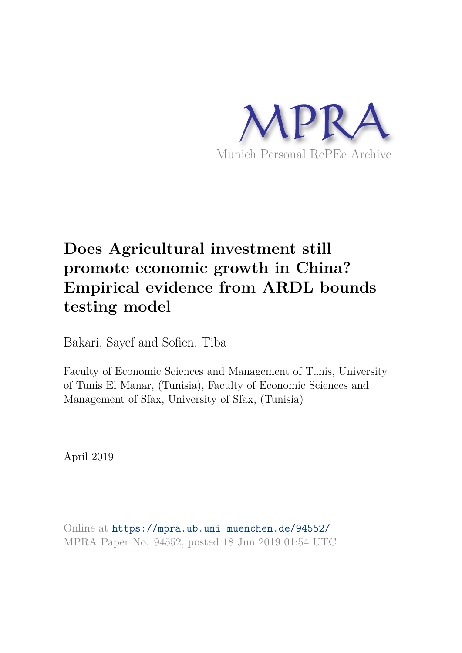

# **Does Agricultural investment still promote economic growth in China? Empirical evidence from ARDL bounds testing model**

Bakari, Sayef and Sofien, Tiba

Faculty of Economic Sciences and Management of Tunis, University of Tunis El Manar, (Tunisia), Faculty of Economic Sciences and Management of Sfax, University of Sfax, (Tunisia)

April 2019

Online at https://mpra.ub.uni-muenchen.de/94552/ MPRA Paper No. 94552, posted 18 Jun 2019 01:54 UTC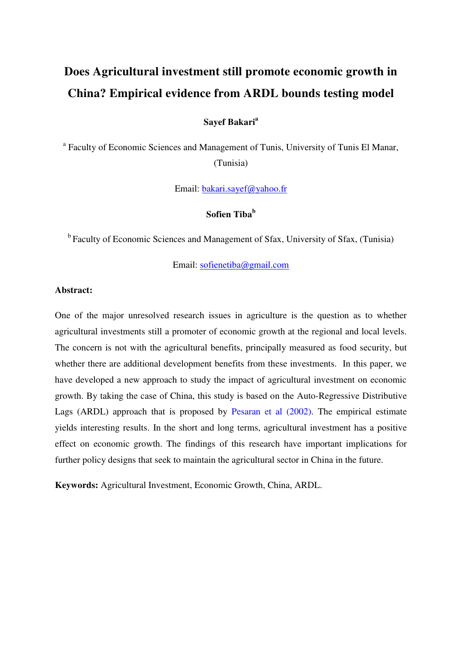## **Does Agricultural investment still promote economic growth in China? Empirical evidence from ARDL bounds testing model**

#### **Sayef Bakari<sup>a</sup>**

<sup>a</sup> Faculty of Economic Sciences and Management of Tunis, University of Tunis El Manar, (Tunisia)

Email: [bakari.sayef@yahoo.fr](mailto:bakari.sayef@yahoo.fr)

## **Sofien Tiba<sup>b</sup>**

<sup>b</sup> Faculty of Economic Sciences and Management of Sfax, University of Sfax, (Tunisia)

Email: [sofienetiba@gmail.com](mailto:sofienetiba@gmail.com)

#### **Abstract:**

One of the major unresolved research issues in agriculture is the question as to whether agricultural investments still a promoter of economic growth at the regional and local levels. The concern is not with the agricultural benefits, principally measured as food security, but whether there are additional development benefits from these investments. In this paper, we have developed a new approach to study the impact of agricultural investment on economic growth. By taking the case of China, this study is based on the Auto-Regressive Distributive Lags (ARDL) approach that is proposed by Pesaran et al (2002). The empirical estimate yields interesting results. In the short and long terms, agricultural investment has a positive effect on economic growth. The findings of this research have important implications for further policy designs that seek to maintain the agricultural sector in China in the future.

**Keywords:** Agricultural Investment, Economic Growth, China, ARDL.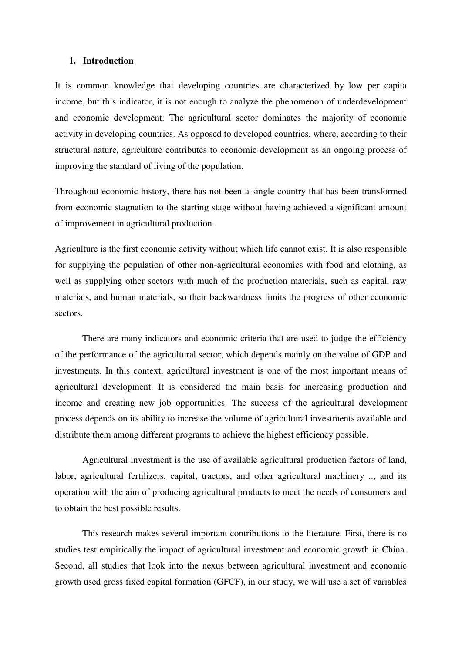#### **1. Introduction**

It is common knowledge that developing countries are characterized by low per capita income, but this indicator, it is not enough to analyze the phenomenon of underdevelopment and economic development. The agricultural sector dominates the majority of economic activity in developing countries. As opposed to developed countries, where, according to their structural nature, agriculture contributes to economic development as an ongoing process of improving the standard of living of the population.

Throughout economic history, there has not been a single country that has been transformed from economic stagnation to the starting stage without having achieved a significant amount of improvement in agricultural production.

Agriculture is the first economic activity without which life cannot exist. It is also responsible for supplying the population of other non-agricultural economies with food and clothing, as well as supplying other sectors with much of the production materials, such as capital, raw materials, and human materials, so their backwardness limits the progress of other economic sectors.

There are many indicators and economic criteria that are used to judge the efficiency of the performance of the agricultural sector, which depends mainly on the value of GDP and investments. In this context, agricultural investment is one of the most important means of agricultural development. It is considered the main basis for increasing production and income and creating new job opportunities. The success of the agricultural development process depends on its ability to increase the volume of agricultural investments available and distribute them among different programs to achieve the highest efficiency possible.

Agricultural investment is the use of available agricultural production factors of land, labor, agricultural fertilizers, capital, tractors, and other agricultural machinery .., and its operation with the aim of producing agricultural products to meet the needs of consumers and to obtain the best possible results.

This research makes several important contributions to the literature. First, there is no studies test empirically the impact of agricultural investment and economic growth in China. Second, all studies that look into the nexus between agricultural investment and economic growth used gross fixed capital formation (GFCF), in our study, we will use a set of variables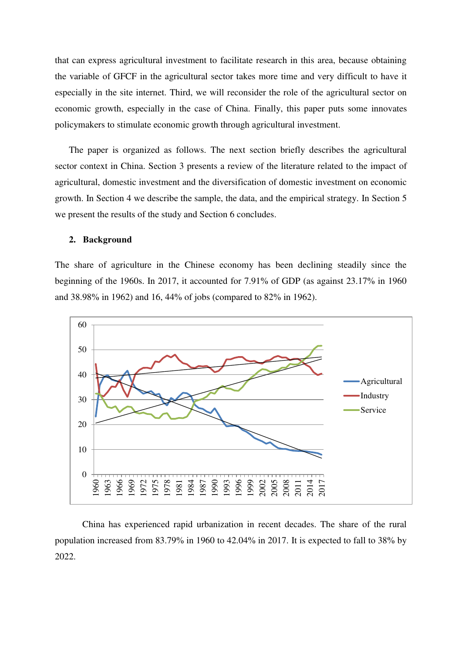that can express agricultural investment to facilitate research in this area, because obtaining the variable of GFCF in the agricultural sector takes more time and very difficult to have it especially in the site internet. Third, we will reconsider the role of the agricultural sector on economic growth, especially in the case of China. Finally, this paper puts some innovates policymakers to stimulate economic growth through agricultural investment.

The paper is organized as follows. The next section briefly describes the agricultural sector context in China. Section 3 presents a review of the literature related to the impact of agricultural, domestic investment and the diversification of domestic investment on economic growth. In Section 4 we describe the sample, the data, and the empirical strategy. In Section 5 we present the results of the study and Section 6 concludes.

#### **2. Background**

The share of agriculture in the Chinese economy has been declining steadily since the beginning of the 1960s. In 2017, it accounted for 7.91% of GDP (as against 23.17% in 1960 and 38.98% in 1962) and 16, 44% of jobs (compared to 82% in 1962).



China has experienced rapid urbanization in recent decades. The share of the rural population increased from 83.79% in 1960 to 42.04% in 2017. It is expected to fall to 38% by 2022.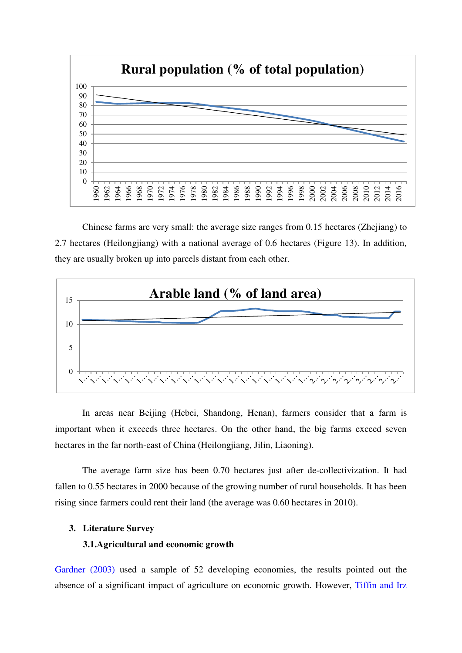

Chinese farms are very small: the average size ranges from 0.15 hectares (Zhejiang) to 2.7 hectares (Heilongjiang) with a national average of 0.6 hectares (Figure 13). In addition, they are usually broken up into parcels distant from each other.



In areas near Beijing (Hebei, Shandong, Henan), farmers consider that a farm is important when it exceeds three hectares. On the other hand, the big farms exceed seven hectares in the far north-east of China (Heilongjiang, Jilin, Liaoning).

The average farm size has been 0.70 hectares just after de-collectivization. It had fallen to 0.55 hectares in 2000 because of the growing number of rural households. It has been rising since farmers could rent their land (the average was 0.60 hectares in 2010).

#### **3. Literature Survey**

#### **3.1.Agricultural and economic growth**

Gardner (2003) used a sample of 52 developing economies, the results pointed out the absence of a significant impact of agriculture on economic growth. However, Tiffin and Irz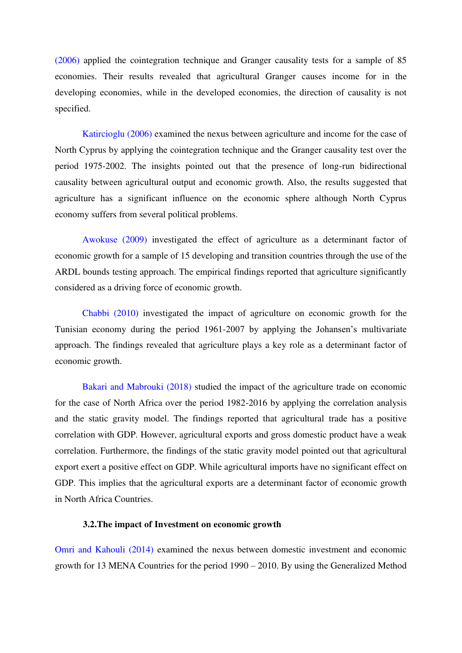(2006) applied the cointegration technique and Granger causality tests for a sample of 85 economies. Their results revealed that agricultural Granger causes income for in the developing economies, while in the developed economies, the direction of causality is not specified.

Katircioglu (2006) examined the nexus between agriculture and income for the case of North Cyprus by applying the cointegration technique and the Granger causality test over the period 1975-2002. The insights pointed out that the presence of long-run bidirectional causality between agricultural output and economic growth. Also, the results suggested that agriculture has a significant influence on the economic sphere although North Cyprus economy suffers from several political problems.

Awokuse (2009) investigated the effect of agriculture as a determinant factor of economic growth for a sample of 15 developing and transition countries through the use of the ARDL bounds testing approach. The empirical findings reported that agriculture significantly considered as a driving force of economic growth.

Chabbi (2010) investigated the impact of agriculture on economic growth for the Tunisian economy during the period 1961-2007 by applying the Johansen's multivariate approach. The findings revealed that agriculture plays a key role as a determinant factor of economic growth.

Bakari and Mabrouki (2018) studied the impact of the agriculture trade on economic for the case of North Africa over the period 1982-2016 by applying the correlation analysis and the static gravity model. The findings reported that agricultural trade has a positive correlation with GDP. However, agricultural exports and gross domestic product have a weak correlation. Furthermore, the findings of the static gravity model pointed out that agricultural export exert a positive effect on GDP. While agricultural imports have no significant effect on GDP. This implies that the agricultural exports are a determinant factor of economic growth in North Africa Countries.

#### **3.2.The impact of Investment on economic growth**

Omri and Kahouli (2014) examined the nexus between domestic investment and economic growth for 13 MENA Countries for the period 1990 – 2010. By using the Generalized Method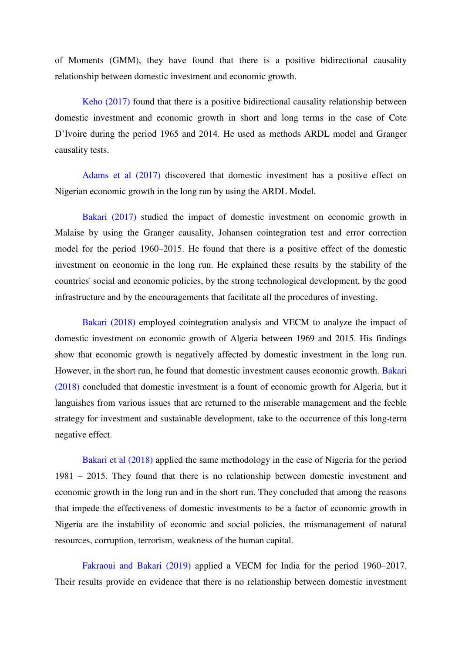of Moments (GMM), they have found that there is a positive bidirectional causality relationship between domestic investment and economic growth.

Keho (2017) found that there is a positive bidirectional causality relationship between domestic investment and economic growth in short and long terms in the case of Cote D'Ivoire during the period 1965 and 2014. He used as methods ARDL model and Granger causality tests.

Adams et al (2017) discovered that domestic investment has a positive effect on Nigerian economic growth in the long run by using the ARDL Model.

Bakari (2017) studied the impact of domestic investment on economic growth in Malaise by using the Granger causality, Johansen cointegration test and error correction model for the period 1960–2015. He found that there is a positive effect of the domestic investment on economic in the long run. He explained these results by the stability of the countries' social and economic policies, by the strong technological development, by the good infrastructure and by the encouragements that facilitate all the procedures of investing.

Bakari (2018) employed cointegration analysis and VECM to analyze the impact of domestic investment on economic growth of Algeria between 1969 and 2015. His findings show that economic growth is negatively affected by domestic investment in the long run. However, in the short run, he found that domestic investment causes economic growth. Bakari (2018) concluded that domestic investment is a fount of economic growth for Algeria, but it languishes from various issues that are returned to the miserable management and the feeble strategy for investment and sustainable development, take to the occurrence of this long-term negative effect.

Bakari et al (2018) applied the same methodology in the case of Nigeria for the period 1981 – 2015. They found that there is no relationship between domestic investment and economic growth in the long run and in the short run. They concluded that among the reasons that impede the effectiveness of domestic investments to be a factor of economic growth in Nigeria are the instability of economic and social policies, the mismanagement of natural resources, corruption, terrorism, weakness of the human capital.

Fakraoui and Bakari (2019) applied a VECM for India for the period 1960–2017. Their results provide en evidence that there is no relationship between domestic investment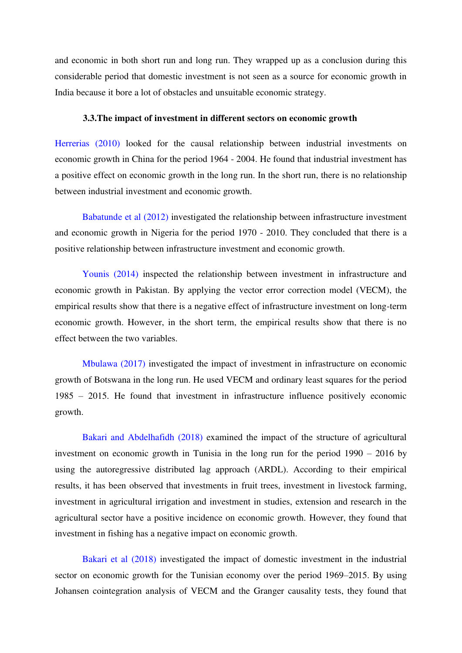and economic in both short run and long run. They wrapped up as a conclusion during this considerable period that domestic investment is not seen as a source for economic growth in India because it bore a lot of obstacles and unsuitable economic strategy.

#### **3.3.The impact of investment in different sectors on economic growth**

Herrerias (2010) looked for the causal relationship between industrial investments on economic growth in China for the period 1964 - 2004. He found that industrial investment has a positive effect on economic growth in the long run. In the short run, there is no relationship between industrial investment and economic growth.

Babatunde et al (2012) investigated the relationship between infrastructure investment and economic growth in Nigeria for the period 1970 - 2010. They concluded that there is a positive relationship between infrastructure investment and economic growth.

Younis (2014) inspected the relationship between investment in infrastructure and economic growth in Pakistan. By applying the vector error correction model (VECM), the empirical results show that there is a negative effect of infrastructure investment on long-term economic growth. However, in the short term, the empirical results show that there is no effect between the two variables.

Mbulawa (2017) investigated the impact of investment in infrastructure on economic growth of Botswana in the long run. He used VECM and ordinary least squares for the period 1985 – 2015. He found that investment in infrastructure influence positively economic growth.

Bakari and Abdelhafidh (2018) examined the impact of the structure of agricultural investment on economic growth in Tunisia in the long run for the period 1990 – 2016 by using the autoregressive distributed lag approach (ARDL). According to their empirical results, it has been observed that investments in fruit trees, investment in livestock farming, investment in agricultural irrigation and investment in studies, extension and research in the agricultural sector have a positive incidence on economic growth. However, they found that investment in fishing has a negative impact on economic growth.

Bakari et al (2018) investigated the impact of domestic investment in the industrial sector on economic growth for the Tunisian economy over the period 1969–2015. By using Johansen cointegration analysis of VECM and the Granger causality tests, they found that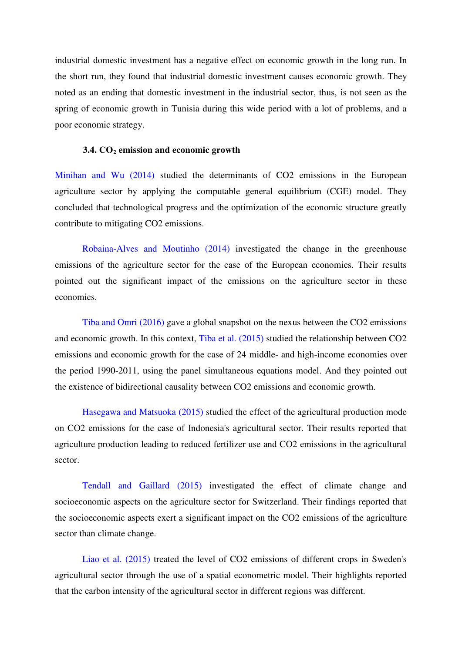industrial domestic investment has a negative effect on economic growth in the long run. In the short run, they found that industrial domestic investment causes economic growth. They noted as an ending that domestic investment in the industrial sector, thus, is not seen as the spring of economic growth in Tunisia during this wide period with a lot of problems, and a poor economic strategy.

#### **3.4. CO2 emission and economic growth**

Minihan and Wu (2014) studied the determinants of CO2 emissions in the European agriculture sector by applying the computable general equilibrium (CGE) model. They concluded that technological progress and the optimization of the economic structure greatly contribute to mitigating CO2 emissions.

Robaina-Alves and Moutinho (2014) investigated the change in the greenhouse emissions of the agriculture sector for the case of the European economies. Their results pointed out the significant impact of the emissions on the agriculture sector in these economies.

Tiba and Omri (2016) gave a global snapshot on the nexus between the CO2 emissions and economic growth. In this context, Tiba et al. (2015) studied the relationship between CO2 emissions and economic growth for the case of 24 middle- and high-income economies over the period 1990-2011, using the panel simultaneous equations model. And they pointed out the existence of bidirectional causality between CO2 emissions and economic growth.

Hasegawa and Matsuoka (2015) studied the effect of the agricultural production mode on CO2 emissions for the case of Indonesia's agricultural sector. Their results reported that agriculture production leading to reduced fertilizer use and CO2 emissions in the agricultural sector.

Tendall and Gaillard (2015) investigated the effect of climate change and socioeconomic aspects on the agriculture sector for Switzerland. Their findings reported that the socioeconomic aspects exert a significant impact on the CO2 emissions of the agriculture sector than climate change.

Liao et al. (2015) treated the level of CO2 emissions of different crops in Sweden's agricultural sector through the use of a spatial econometric model. Their highlights reported that the carbon intensity of the agricultural sector in different regions was different.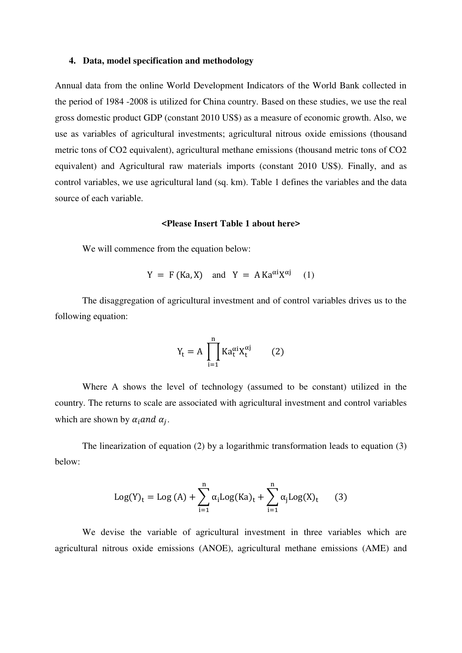#### **4. Data, model specification and methodology**

Annual data from the online World Development Indicators of the World Bank collected in the period of 1984 -2008 is utilized for China country. Based on these studies, we use the real gross domestic product GDP (constant 2010 US\$) as a measure of economic growth. Also, we use as variables of agricultural investments; agricultural nitrous oxide emissions (thousand metric tons of CO2 equivalent), agricultural methane emissions (thousand metric tons of CO2 equivalent) and Agricultural raw materials imports (constant 2010 US\$). Finally, and as control variables, we use agricultural land (sq. km). Table 1 defines the variables and the data source of each variable.

#### **<Please Insert Table 1 about here>**

We will commence from the equation below:

$$
Y = F (Ka, X) \quad \text{and} \quad Y = A Ka^{\alpha i}X^{\alpha j} \tag{1}
$$

The disaggregation of agricultural investment and of control variables drives us to the following equation:

$$
Y_t = A \prod_{i=1}^{n} Ka_t^{\alpha i} X_t^{\alpha j} \qquad (2)
$$

Where A shows the level of technology (assumed to be constant) utilized in the country. The returns to scale are associated with agricultural investment and control variables which are shown by  $\alpha_i$  and  $\alpha_j$ .

The linearization of equation (2) by a logarithmic transformation leads to equation (3) below:

$$
Log(Y)t = Log (A) + \sum_{i=1}^{n} \alpha_i Log(Ka)t + \sum_{i=1}^{n} \alpha_j Log(X)t (3)
$$

We devise the variable of agricultural investment in three variables which are agricultural nitrous oxide emissions (ANOE), agricultural methane emissions (AME) and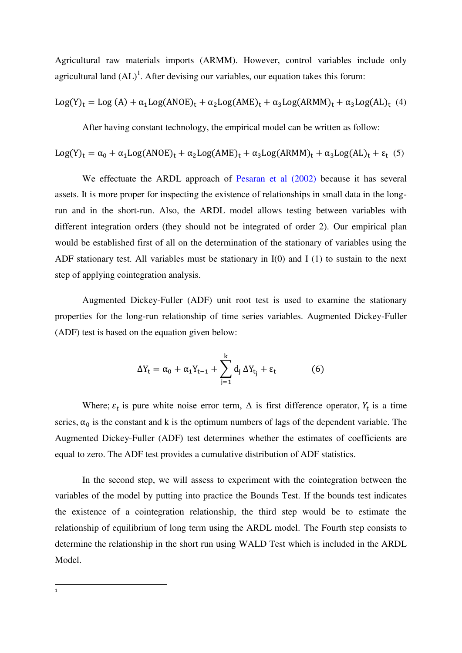Agricultural raw materials imports (ARMM). However, control variables include only agricultural land  $(AL)^1$ . After devising our variables, our equation takes this forum:

$$
Log(Y)_t = Log (A) + \alpha_1 Log(ANOE)_t + \alpha_2 Log(AME)_t + \alpha_3 Log(ARMM)_t + \alpha_3 Log(AL)_t \ (4)
$$

After having constant technology, the empirical model can be written as follow:

$$
Log(Y)_t = \alpha_0 + \alpha_1 Log(ANOE)_t + \alpha_2 Log(AME)_t + \alpha_3 Log(ARMM)_t + \alpha_3 Log(AL)_t + \epsilon_t \hspace{0.1cm} (5)
$$

We effectuate the ARDL approach of Pesaran et al (2002) because it has several assets. It is more proper for inspecting the existence of relationships in small data in the longrun and in the short-run. Also, the ARDL model allows testing between variables with different integration orders (they should not be integrated of order 2). Our empirical plan would be established first of all on the determination of the stationary of variables using the ADF stationary test. All variables must be stationary in  $I(0)$  and  $I(1)$  to sustain to the next step of applying cointegration analysis.

Augmented Dickey-Fuller (ADF) unit root test is used to examine the stationary properties for the long-run relationship of time series variables. Augmented Dickey-Fuller (ADF) test is based on the equation given below:

$$
\Delta Y_{t} = \alpha_{0} + \alpha_{1} Y_{t-1} + \sum_{j=1}^{k} d_{j} \Delta Y_{t_{j}} + \varepsilon_{t}
$$
 (6)

Where;  $\varepsilon_t$  is pure white noise error term,  $\Delta$  is first difference operator,  $Y_t$  is a time series,  $\alpha_0$  is the constant and k is the optimum numbers of lags of the dependent variable. The Augmented Dickey-Fuller (ADF) test determines whether the estimates of coefficients are equal to zero. The ADF test provides a cumulative distribution of ADF statistics.

In the second step, we will assess to experiment with the cointegration between the variables of the model by putting into practice the Bounds Test. If the bounds test indicates the existence of a cointegration relationship, the third step would be to estimate the relationship of equilibrium of long term using the ARDL model. The Fourth step consists to determine the relationship in the short run using WALD Test which is included in the ARDL Model.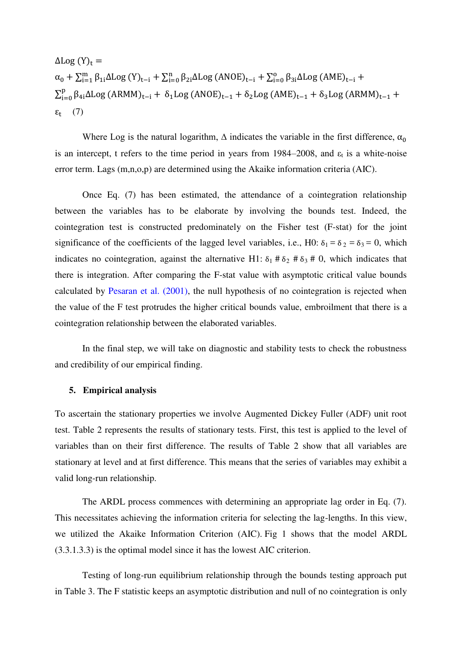$\Delta$ Log  $(Y)_{t}$  =  $\alpha_0 + \sum_{i=1}^m \beta_{1i} \Delta \text{Log}(Y)_{t-i} + \sum_{i=0}^n \beta_{2i} \Delta \text{Log}(ANOE)_{t-i} + \sum_{i=0}^o \beta_{3i} \Delta \text{Log}(AME)_{t-i} +$  $\sum_{i=0}^{p} \beta_{4i} \Delta \text{Log} (\text{ARMM})_{t-i} + \delta_1 \text{Log} (\text{ANOE})_{t-1} + \delta_2 \text{Log} (\text{AME})_{t-1} + \delta_3 \text{Log} (\text{ARMM})_{t-1} +$  $\epsilon_t$  (7)

Where Log is the natural logarithm,  $\Delta$  indicates the variable in the first difference,  $\alpha_0$ is an intercept, t refers to the time period in years from 1984–2008, and  $\varepsilon_t$  is a white-noise error term. Lags (m,n,o,p) are determined using the Akaike information criteria (AIC).

Once Eq. (7) has been estimated, the attendance of a cointegration relationship between the variables has to be elaborate by involving the bounds test. Indeed, the cointegration test is constructed predominately on the Fisher test (F-stat) for the joint significance of the coefficients of the lagged level variables, i.e., H0:  $\delta_1 = \delta_2 = \delta_3 = 0$ , which indicates no cointegration, against the alternative H1:  $\delta_1$  #  $\delta_2$  #  $\delta_3$  # 0, which indicates that there is integration. After comparing the F-stat value with asymptotic critical value bounds calculated by Pesaran et al. (2001), the null hypothesis of no cointegration is rejected when the value of the F test protrudes the higher critical bounds value, embroilment that there is a cointegration relationship between the elaborated variables.

In the final step, we will take on diagnostic and stability tests to check the robustness and credibility of our empirical finding.

#### **5. Empirical analysis**

To ascertain the stationary properties we involve Augmented Dickey Fuller (ADF) unit root test. Table 2 represents the results of stationary tests. First, this test is applied to the level of variables than on their first difference. The results of Table 2 show that all variables are stationary at level and at first difference. This means that the series of variables may exhibit a valid long-run relationship.

The ARDL process commences with determining an appropriate lag order in Eq. (7). This necessitates achieving the information criteria for selecting the lag-lengths. In this view, we utilized the Akaike Information Criterion (AIC). Fig 1 shows that the model ARDL (3.3.1.3.3) is the optimal model since it has the lowest AIC criterion.

Testing of long-run equilibrium relationship through the bounds testing approach put in Table 3. The F statistic keeps an asymptotic distribution and null of no cointegration is only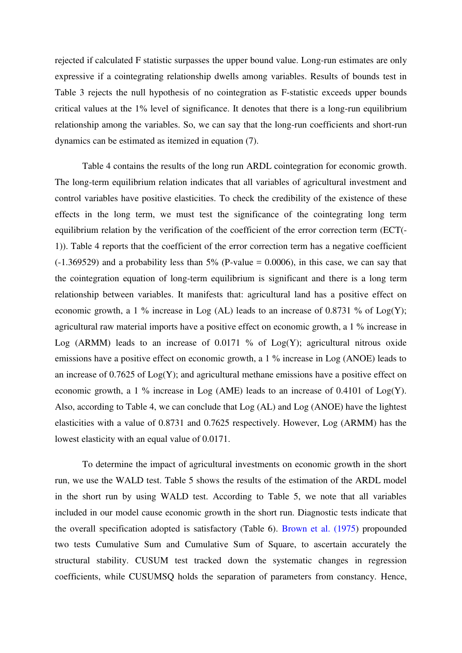rejected if calculated F statistic surpasses the upper bound value. Long-run estimates are only expressive if a cointegrating relationship dwells among variables. Results of bounds test in Table 3 rejects the null hypothesis of no cointegration as F-statistic exceeds upper bounds critical values at the 1% level of significance. It denotes that there is a long-run equilibrium relationship among the variables. So, we can say that the long-run coefficients and short-run dynamics can be estimated as itemized in equation (7).

Table 4 contains the results of the long run ARDL cointegration for economic growth. The long-term equilibrium relation indicates that all variables of agricultural investment and control variables have positive elasticities. To check the credibility of the existence of these effects in the long term, we must test the significance of the cointegrating long term equilibrium relation by the verification of the coefficient of the error correction term (ECT(- 1)). Table 4 reports that the coefficient of the error correction term has a negative coefficient  $(-1.369529)$  and a probability less than 5% (P-value = 0.0006), in this case, we can say that the cointegration equation of long-term equilibrium is significant and there is a long term relationship between variables. It manifests that: agricultural land has a positive effect on economic growth, a 1 % increase in Log (AL) leads to an increase of 0.8731 % of Log(Y); agricultural raw material imports have a positive effect on economic growth, a 1 % increase in Log (ARMM) leads to an increase of  $0.0171$  % of Log(Y); agricultural nitrous oxide emissions have a positive effect on economic growth, a 1 % increase in Log (ANOE) leads to an increase of 0.7625 of Log(Y); and agricultural methane emissions have a positive effect on economic growth, a 1 % increase in Log (AME) leads to an increase of 0.4101 of Log(Y). Also, according to Table 4, we can conclude that Log (AL) and Log (ANOE) have the lightest elasticities with a value of 0.8731 and 0.7625 respectively. However, Log (ARMM) has the lowest elasticity with an equal value of 0.0171.

To determine the impact of agricultural investments on economic growth in the short run, we use the WALD test. Table 5 shows the results of the estimation of the ARDL model in the short run by using WALD test. According to Table 5, we note that all variables included in our model cause economic growth in the short run. Diagnostic tests indicate that the overall specification adopted is satisfactory (Table 6). Brown et al. (1975) propounded two tests Cumulative Sum and Cumulative Sum of Square, to ascertain accurately the structural stability. CUSUM test tracked down the systematic changes in regression coefficients, while CUSUMSQ holds the separation of parameters from constancy. Hence,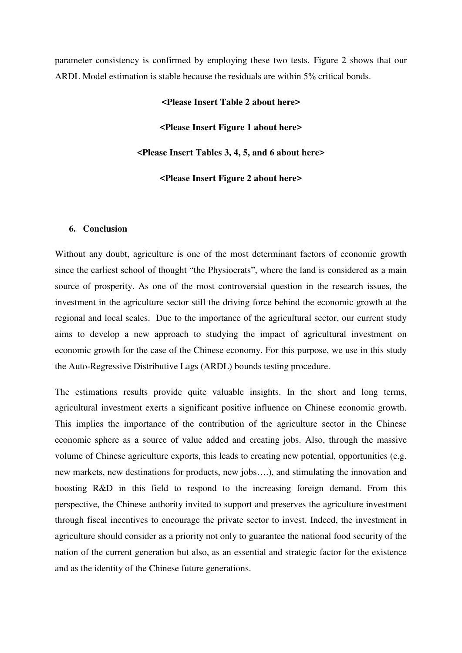parameter consistency is confirmed by employing these two tests. Figure 2 shows that our ARDL Model estimation is stable because the residuals are within 5% critical bonds.

#### **<Please Insert Table 2 about here>**

**<Please Insert Figure 1 about here>** 

**<Please Insert Tables 3, 4, 5, and 6 about here>** 

**<Please Insert Figure 2 about here>** 

#### **6. Conclusion**

Without any doubt, agriculture is one of the most determinant factors of economic growth since the earliest school of thought "the Physiocrats", where the land is considered as a main source of prosperity. As one of the most controversial question in the research issues, the investment in the agriculture sector still the driving force behind the economic growth at the regional and local scales. Due to the importance of the agricultural sector, our current study aims to develop a new approach to studying the impact of agricultural investment on economic growth for the case of the Chinese economy. For this purpose, we use in this study the Auto-Regressive Distributive Lags (ARDL) bounds testing procedure.

The estimations results provide quite valuable insights. In the short and long terms, agricultural investment exerts a significant positive influence on Chinese economic growth. This implies the importance of the contribution of the agriculture sector in the Chinese economic sphere as a source of value added and creating jobs. Also, through the massive volume of Chinese agriculture exports, this leads to creating new potential, opportunities (e.g. new markets, new destinations for products, new jobs….), and stimulating the innovation and boosting R&D in this field to respond to the increasing foreign demand. From this perspective, the Chinese authority invited to support and preserves the agriculture investment through fiscal incentives to encourage the private sector to invest. Indeed, the investment in agriculture should consider as a priority not only to guarantee the national food security of the nation of the current generation but also, as an essential and strategic factor for the existence and as the identity of the Chinese future generations.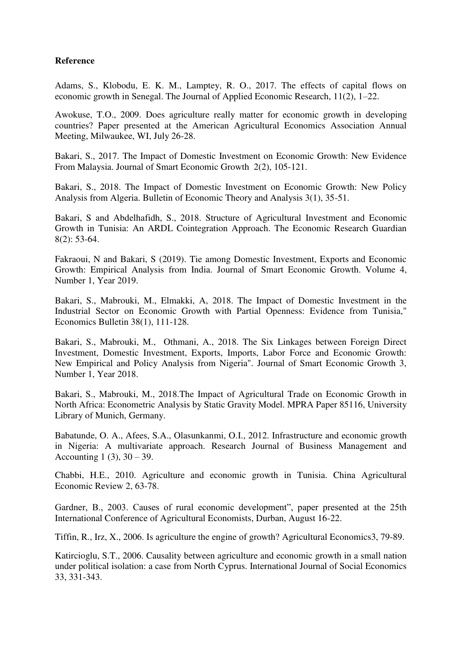### **Reference**

Adams, S., Klobodu, E. K. M., Lamptey, R. O., 2017. The effects of capital flows on economic growth in Senegal. The Journal of Applied Economic Research, 11(2), 1–22.

Awokuse, T.O., 2009. Does agriculture really matter for economic growth in developing countries? Paper presented at the American Agricultural Economics Association Annual Meeting, Milwaukee, WI, July 26-28.

Bakari, S., 2017. The Impact of Domestic Investment on Economic Growth: New Evidence From Malaysia. Journal of Smart Economic Growth 2(2), 105-121.

Bakari, S., 2018. The Impact of Domestic Investment on Economic Growth: New Policy Analysis from Algeria. Bulletin of Economic Theory and Analysis 3(1), 35-51.

Bakari, S and Abdelhafidh, S., 2018. Structure of Agricultural Investment and Economic Growth in Tunisia: An ARDL Cointegration Approach. The Economic Research Guardian 8(2): 53-64.

Fakraoui, N and Bakari, S (2019). Tie among Domestic Investment, Exports and Economic Growth: Empirical Analysis from India. Journal of Smart Economic Growth. Volume 4, Number 1, Year 2019.

Bakari, S., Mabrouki, M., Elmakki, A, 2018. The Impact of Domestic Investment in the Industrial Sector on Economic Growth with Partial Openness: Evidence from Tunisia," Economics Bulletin 38(1), 111-128.

Bakari, S., Mabrouki, M., Othmani, A., 2018. The Six Linkages between Foreign Direct Investment, Domestic Investment, Exports, Imports, Labor Force and Economic Growth: New Empirical and Policy Analysis from Nigeria". Journal of Smart Economic Growth 3, Number 1, Year 2018.

Bakari, S., Mabrouki, M., 2018.The Impact of Agricultural Trade on Economic Growth in North Africa: Econometric Analysis by Static Gravity Model. MPRA Paper 85116, University Library of Munich, Germany.

Babatunde, O. A., Afees, S.A., Olasunkanmi, O.I., 2012. Infrastructure and economic growth in Nigeria: A multivariate approach. Research Journal of Business Management and Accounting 1 (3),  $30 - 39$ .

Chabbi, H.E., 2010. Agriculture and economic growth in Tunisia. China Agricultural Economic Review 2, 63-78.

Gardner, B., 2003. Causes of rural economic development", paper presented at the 25th International Conference of Agricultural Economists, Durban, August 16-22.

Tiffin, R., Irz, X., 2006. Is agriculture the engine of growth? Agricultural Economics3, 79-89.

Katircioglu, S.T., 2006. Causality between agriculture and economic growth in a small nation under political isolation: a case from North Cyprus. International Journal of Social Economics 33, 331-343.